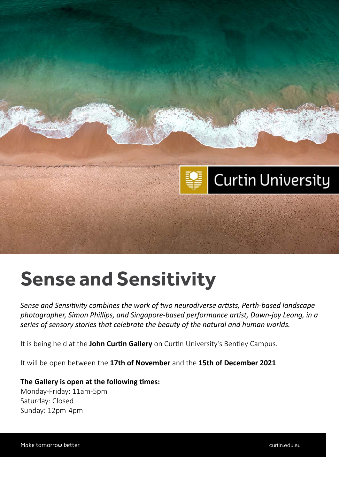

### **Sense and Sensitivity**

*Sense and Sensitivity combines the work of two neurodiverse artists, Perth-based landscape photographer, Simon Phillips, and Singapore-based performance artist, Dawn-joy Leong, in a series of sensory stories that celebrate the beauty of the natural and human worlds.*

It is being held at the **John Curtin Gallery** on Curtin University's Bentley Campus.

It will be open between the **17th of November** and the **15th of December 2021**.

#### **The Gallery is open at the following times:**

Monday-Friday: 11am-5pm Saturday: Closed Sunday: 12pm-4pm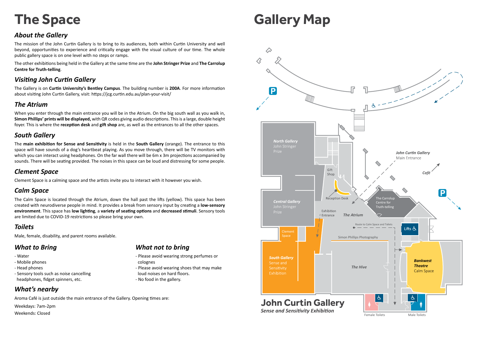# **Gallery Map**

# **The Space**

### *About the Gallery*

The mission of the John Curtin Gallery is to bring to its audiences, both within Curtin University and well beyond, opportunities to experience and critically engage with the visual culture of our time. The whole public gallery space is on one level with no steps or ramps.

The other exhibitions being held in the Gallery at the same time are the **John Stringer Prize** and **The Carrolup Centre for Truth-telling**.

#### *Visiting John Curtin Gallery*

The Gallery is on **Curtin University's Bentley Campus**. The building number is **200A**. For more information about visiting John Curtin Gallery, visit: https://jcg.curtin.edu.au/plan-your-visit/

#### *The Atrium*

When you enter through the main entrance you will be in the Atrium. On the big south wall as you walk in, **Simon Phillips' prints will be displayed,** with QR codes giving audio descriptions. This is a large, double height foyer. This is where the **reception desk** and **gift shop** are, as well as the entrances to all the other spaces.

#### *South Gallery*

The **main exhibition for Sense and Sensitivity** is held in the **South Gallery** (orange). The entrance to this space will have sounds of a dog's heartbeat playing. As you move through, there will be TV monitors with which you can interact using headphones. On the far wall there will be 6m x 3m projections accompanied by sounds. There will be seating provided. The noises in this space can be loud and distressing for some people.

#### *Clement Space*

Clement Space is a calming space and the artists invite you to interact with it however you wish.

#### *Calm Space*

The Calm Space is located through the Atrium, down the hall past the lifts (yellow). This space has been created with neurodiverse people in mind. It provides a break from sensory input by creating a **low-sensory environment**. This space has **low lighting**, a **variety of seating options** and **decreased stimuli**. Sensory tools are limited due to COVID-19 restrictions so please bring your own.

#### *Toilets*

Male, female, disability, and parent rooms available.



#### *What to Bring*

- Water
- Mobile phones
- Head phones
- Sensory tools such as noise cancelling headphones, fidget spinners, etc.

#### *What not to bring*

- Please avoid wearing strong perfumes or colognes
- Please avoid wearing shoes that may make
- loud noises on hard floors.
- No food in the gallery.

### *What's nearby*

Aroma Café is just outside the main entrance of the Gallery. Opening times are:

Weekdays: 7am-2pm

Weekends: Closed